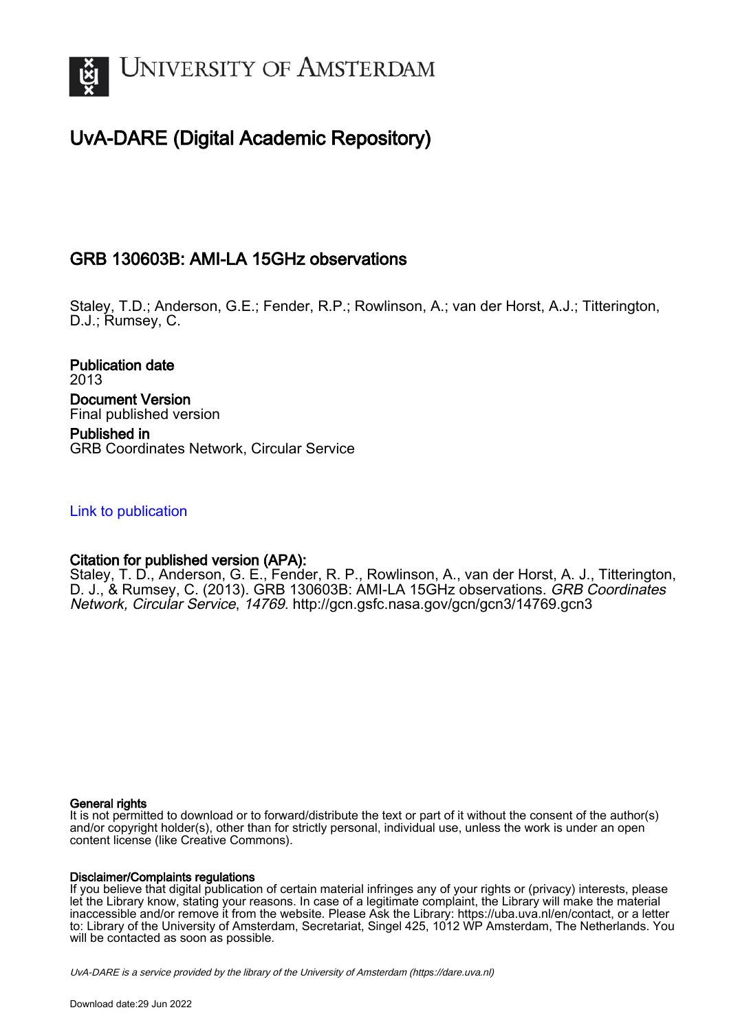

# UvA-DARE (Digital Academic Repository)

## GRB 130603B: AMI-LA 15GHz observations

Staley, T.D.; Anderson, G.E.; Fender, R.P.; Rowlinson, A.; van der Horst, A.J.; Titterington, D.J.; Rumsey, C.

Publication date 2013 Document Version Final published version Published in GRB Coordinates Network, Circular Service

## [Link to publication](https://dare.uva.nl/personal/pure/en/publications/grb-130603b-amila-15ghz-observations(e483475e-7928-4dd1-8d1c-204672257444).html)

## Citation for published version (APA):

Staley, T. D., Anderson, G. E., Fender, R. P., Rowlinson, A., van der Horst, A. J., Titterington, D. J., & Rumsey, C. (2013). GRB 130603B: AMI-LA 15GHz observations. GRB Coordinates Network, Circular Service, 14769. <http://gcn.gsfc.nasa.gov/gcn/gcn3/14769.gcn3>

#### General rights

It is not permitted to download or to forward/distribute the text or part of it without the consent of the author(s) and/or copyright holder(s), other than for strictly personal, individual use, unless the work is under an open content license (like Creative Commons).

#### Disclaimer/Complaints regulations

If you believe that digital publication of certain material infringes any of your rights or (privacy) interests, please let the Library know, stating your reasons. In case of a legitimate complaint, the Library will make the material inaccessible and/or remove it from the website. Please Ask the Library: https://uba.uva.nl/en/contact, or a letter to: Library of the University of Amsterdam, Secretariat, Singel 425, 1012 WP Amsterdam, The Netherlands. You will be contacted as soon as possible.

UvA-DARE is a service provided by the library of the University of Amsterdam (http*s*://dare.uva.nl)